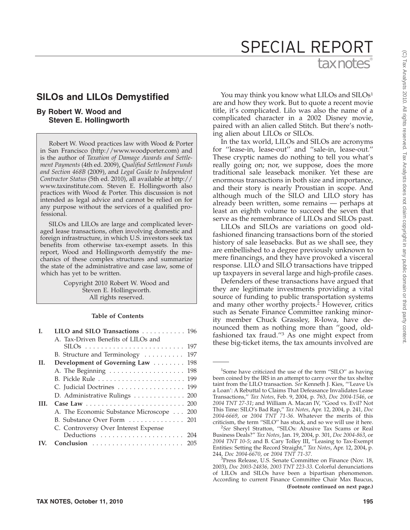# **SILOs and LILOs Demystified**

# **By Robert W. Wood and Steven E. Hollingworth**

Robert W. Wood practices law with Wood & Porter in San Francisco (http://www.woodporter.com) and is the author of *Taxation of Damage Awards and Settlement Payments* (4th ed. 2009), *Qualified Settlement Funds and Section 468B* (2009), and *Legal Guide to Independent Contractor Status* (5th ed. 2010), all available at http:// www.taxinstitute.com. Steven E. Hollingworth also practices with Wood & Porter. This discussion is not intended as legal advice and cannot be relied on for any purpose without the services of a qualified professional.

SILOs and LILOs are large and complicated leveraged lease transactions, often involving domestic and foreign infrastructure, in which U.S. investors seek tax benefits from otherwise tax-exempt assets. In this report, Wood and Hollingworth demystify the mechanics of these complex structures and summarize the state of the administrative and case law, some of which has yet to be written.

> Copyright 2010 Robert W. Wood and Steven E. Hollingworth. All rights reserved.

## **Table of Contents**

| L   | LILO and SILO Transactions 196           |
|-----|------------------------------------------|
|     | A. Tax-Driven Benefits of LILOs and      |
|     | 197                                      |
|     | B. Structure and Terminology<br>197      |
| H.  | Development of Governing Law  198        |
|     | A. The Beginning 198                     |
|     |                                          |
|     | C. Judicial Doctrines 199                |
|     | D. Administrative Rulings 200            |
| HL. |                                          |
|     | A. The Economic Substance Microscope 200 |
|     | B. Substance Over Form  201              |
|     | C. Controversy Over Interest Expense     |
|     |                                          |
|     | 205                                      |

You may think you know what LILOs and SILOs<sup>1</sup> are and how they work. But to quote a recent movie title, it's complicated. Lilo was also the name of a complicated character in a 2002 Disney movie, paired with an alien called Stitch. But there's nothing alien about LILOs or SILOs.

In the tax world, LILOs and SILOs are acronyms for ''lease-in, lease-out'' and ''sale-in, lease-out.'' These cryptic names do nothing to tell you what's really going on; nor, we suppose, does the more traditional sale leaseback moniker. Yet these are enormous transactions in both size and importance, and their story is nearly Proustian in scope. And although much of the SILO and LILO story has already been written, some remains — perhaps at least an eighth volume to succeed the seven that serve as the remembrance of LILOs and SILOs past.

LILOs and SILOs are variations on good oldfashioned financing transactions born of the storied history of sale leasebacks. But as we shall see, they are embellished to a degree previously unknown to mere financings, and they have provoked a visceral response. LILO and SILO transactions have tripped up taxpayers in several large and high-profile cases.

Defenders of these transactions have argued that they are legitimate investments providing a vital source of funding to public transportation systems and many other worthy projects.2 However, critics such as Senate Finance Committee ranking minority member Chuck Grassley, R-Iowa, have denounced them as nothing more than ''good, oldfashioned tax fraud.''3 As one might expect from these big-ticket items, the tax amounts involved are

<sup>&</sup>lt;sup>1</sup>Some have criticized the use of the term "SILO" as having been coined by the IRS in an attempt to carry over the tax shelter taint from the LILO transaction. *See* Kenneth J. Kies, '''Leave Us a Loan': A Rebuttal to Claims That Defeasance Invalidates Lease Transactions,'' *Tax Notes*, Feb. 9, 2004, p. 763, *Doc 2004-1546*, or *2004 TNT 27-31*; and William A. Macan IV, ''Good vs. Evil? Not This Time: SILO's Bad Rap,'' *Tax Notes*, Apr. 12, 2004, p. 241, *Doc 2004-6669*, or *2004 TNT 71-36*. Whatever the merits of this criticism, the term "SILO" has stuck, and so we will use it here.<br><sup>2</sup>See Shervl, Stratton, "SILOs: Abusive Tax Scams or Real

*See* Sheryl Stratton, ''SILOs: Abusive Tax Scams or Real Business Deals?'' *Tax Notes*, Jan. 19, 2004, p. 301, *Doc 2004-863*, or *2004 TNT 10-5*; and B. Cary Tolley III, ''Leasing to Tax-Exempt Entities: Setting the Record Straight,'' *Tax Notes*, Apr. 12, 2004, p. 244, *Doc 2004-6670*, or *2004 TNT 71-37*. <sup>3</sup>

<sup>&</sup>lt;sup>3</sup>Press Release, U.S. Senate Committee on Finance (Nov. 18, 2003), *Doc 2003-24836, 2003 TNT 223-33*. Colorful denunciations of LILOs and SILOs have been a bipartisan phenomenon. According to current Finance Committee Chair Max Baucus, **(Footnote continued on next page.)**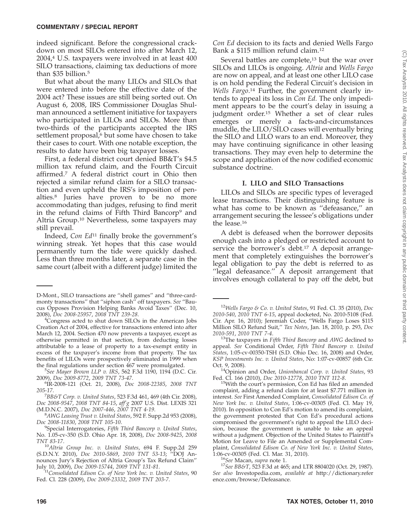indeed significant. Before the congressional crackdown on most SILOs entered into after March 12,  $2004<sup>4</sup>$  U.S. taxpayers were involved in at least 400 SILO transactions, claiming tax deductions of more than \$35 billion.<sup>5</sup>

But what about the many LILOs and SILOs that were entered into before the effective date of the 2004 act? These issues are still being sorted out. On August 6, 2008, IRS Commissioner Douglas Shulman announced a settlement initiative for taxpayers who participated in LILOs and SILOs. More than two-thirds of the participants accepted the IRS settlement proposal,<sup>6</sup> but some have chosen to take their cases to court. With one notable exception, the results to date have been big taxpayer losses.

First, a federal district court denied BB&T's \$4.5 million tax refund claim, and the Fourth Circuit affirmed.7 A federal district court in Ohio then rejected a similar refund claim for a SILO transaction and even upheld the IRS's imposition of penalties.8 Juries have proven to be no more accommodating than judges, refusing to find merit in the refund claims of Fifth Third Bancorp9 and Altria Group.10 Nevertheless, some taxpayers may still prevail.

Indeed, *Con Ed*<sup>11</sup> finally broke the government's winning streak. Yet hopes that this case would permanently turn the tide were quickly dashed. Less than three months later, a separate case in the same court (albeit with a different judge) limited the

*Con Ed* decision to its facts and denied Wells Fargo Bank a \$115 million refund claim.12

Several battles are complete, $13$  but the war over SILOs and LILOs is ongoing. *Altria* and *Wells Fargo* are now on appeal, and at least one other LILO case is on hold pending the Federal Circuit's decision in Wells Fargo.<sup>14</sup> Further, the government clearly intends to appeal its loss in *Con Ed.* The only impediment appears to be the court's delay in issuing a judgment order.15 Whether a set of clear rules emerges or merely a facts-and-circumstances muddle, the LILO/SILO cases will eventually bring the SILO and LILO wars to an end. Moreover, they may have continuing significance in other leasing transactions. They may even help to determine the scope and application of the now codified economic substance doctrine.

#### **I. LILO and SILO Transactions**

LILOs and SILOs are specific types of leveraged lease transactions. Their distinguishing feature is what has come to be known as ''defeasance,'' an arrangement securing the lessee's obligations under the lease.16

A debt is defeased when the borrower deposits enough cash into a pledged or restricted account to service the borrower's debt.<sup>17</sup> A deposit arrangement that completely extinguishes the borrower's legal obligation to pay the debt is referred to as "legal defeasance."  $\overrightarrow{A}$  deposit arrangement that involves enough collateral to pay off the debt, but

<sup>14</sup>Opinion and Order, *Unionbancal Corp. v. United States*, 93 Fed. Cl. 166 (2010), *Doc 2010-12778*, *2010 TNT 112-8*. 15With the court's permission, Con Ed has filed an amended

D-Mont., SILO transactions are ''shell games'' and ''three-cardmonty transactions'' that ''siphon cash'' off taxpayers. *See* ''Baucus Opposes Provision Helping Banks Avoid Taxes'' (Dec. 10, 2008), *Doc 2008-25957*, *2008 TNT 239-28*. <sup>4</sup>

<sup>&</sup>lt;sup>4</sup>Congress acted to shut down SILOs in the American Jobs Creation Act of 2004, effective for transactions entered into after March 12, 2004. Section 470 now prevents a taxpayer, except as otherwise permitted in that section, from deducting losses attributable to a lease of property to a tax-exempt entity in excess of the taxpayer's income from that property. The tax benefits of LILOs were prospectively eliminated in 1999 when the final regulations under section 467 were promulgated.

<sup>&</sup>lt;sup>5</sup>See Mayer Brown LLP v. IRS, 562 F.3d 1190, 1194 (D.C. Cir. 2009), *Doc 2009-8772, 2009 TNT 73-47*.

<sup>2009),</sup> *Doc 2009-8772*, *2009 TNT 73-47*. <sup>6</sup> IR-2008-121 (Oct. 21, 2008), *Doc 2008-22385*, *2008 TNT 205-17.* 

*BB&T Corp. v. United States*, 523 F.3d 461, 469 (4th Cir. 2008), *Doc 2008-9547*, *2008 TNT 84-15*, *aff'g* 2007 U.S. Dist. LEXIS 321 (M.D.N.C. 2007), *Doc 2007-446*, *2007 TNT 4-19*. <sup>8</sup>

*AWG Leasing Trust v. United States*, 592 F. Supp.2d 953 (2008), *Doc 2008-11830*, *2008 TNT 105-10*. <sup>9</sup>

Special Interrogatories, *Fifth Third Bancorp v. United States*, No. 1.05-cv-350 (S.D. Ohio Apr. 18, 2008), *Doc 2008-9425*, *2008*

*TNT 83-17*. <sup>10</sup>*Altria Group Inc. v. United States*, 694 F. Supp.2d 259 (S.D.N.Y. 2010), *Doc 2010-5869*, *2010 TNT 53-13*; ''DOJ Announces Jury's Rejection of Altria Group's Tax Refund Claim'' July 10, 2009), *Doc 2009-15744*, *2009 TNT 131-81*. <sup>11</sup>*Consolidated Edison Co. of New York Inc. v. United States*, 90

Fed. Cl. 228 (2009), *Doc 2009-23332*, *2009 TNT 203-7*.

<sup>12</sup>*Wells Fargo & Co. v. United States*, 91 Fed. Cl. 35 (2010), *Doc 2010-540*, *2010 TNT 6-15*, appeal docketed, No. 2010-5108 (Fed. Cir. Apr. 16, 2010); Jeremiah Coder, ''Wells Fargo Loses \$115 Million SILO Refund Suit,'' *Tax Notes*, Jan. 18, 2010, p. 293, *Doc 2010-591*, *2010 TNT 7-4*. 13The taxpayers in *Fifth Third Bancorp* and *AWG* declined to

appeal. *See* Conditional Order, *Fifth Third Bancorp v. United States*, 1:05-cv-00350-TSH (S.D. Ohio Dec. 16, 2008) and Order, *KSP Investments Inc. v. United States*, No: 1:07-cv-00857 (6th Cir.

complaint, adding a refund claim for at least \$7.771 million in interest. *See* First Amended Complaint, *Consolidated Edison Co. of New York Inc. v. United States*, 1:06-cv-00305 (Fed. Cl. May 19, 2010). In opposition to Con Ed's motion to amend its complaint, the government protested that Con Ed's procedural actions compromised the government's right to appeal the LILO decision, because the government is unable to take an appeal without a judgment. Objection of the United States to Plaintiff's Motion for Leave to File an Amended or Supplemental Complaint, *Consolidated Edison Co. of New York Inc. v. United States*,

<sup>&</sup>lt;sup>16</sup>See Macan, *supra* note 1.<br><sup>17</sup>See BB&T, 523 F.3d at 465; and LTR 8804020 (Oct. 29, 1987). *See also* Investopedia.com, *available at* http://dictionary.refer ence.com/browse/Defeasance.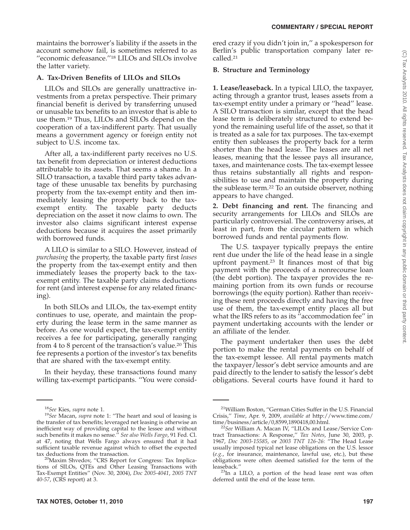maintains the borrower's liability if the assets in the account somehow fail, is sometimes referred to as "economic defeasance."<sup>18</sup> LILOs and SILOs involve the latter variety.

## **A. Tax-Driven Benefits of LILOs and SILOs**

LILOs and SILOs are generally unattractive investments from a pretax perspective. Their primary financial benefit is derived by transferring unused or unusable tax benefits to an investor that is able to use them.19 Thus, LILOs and SILOs depend on the cooperation of a tax-indifferent party. That usually means a government agency or foreign entity not subject to U.S. income tax.

After all, a tax-indifferent party receives no U.S. tax benefit from depreciation or interest deductions attributable to its assets. That seems a shame. In a SILO transaction, a taxable third party takes advantage of these unusable tax benefits by purchasing property from the tax-exempt entity and then immediately leasing the property back to the taxexempt entity. The taxable party deducts depreciation on the asset it now claims to own. The investor also claims significant interest expense deductions because it acquires the asset primarily with borrowed funds.

A LILO is similar to a SILO. However, instead of *purchasing* the property, the taxable party first *leases* the property from the tax-exempt entity and then immediately leases the property back to the taxexempt entity. The taxable party claims deductions for rent (and interest expense for any related financing).

In both SILOs and LILOs, the tax-exempt entity continues to use, operate, and maintain the property during the lease term in the same manner as before. As one would expect, the tax-exempt entity receives a fee for participating, generally ranging from 4 to 8 percent of the transaction's value.20 This fee represents a portion of the investor's tax benefits that are shared with the tax-exempt entity.

In their heyday, these transactions found many willing tax-exempt participants. ''You were considered crazy if you didn't join in,'' a spokesperson for Berlin's public transportation company later recalled.21

#### **B. Structure and Terminology**

**1. Lease/leaseback.** In a typical LILO, the taxpayer, acting through a grantor trust, leases assets from a tax-exempt entity under a primary or ''head'' lease. A SILO transaction is similar, except that the head lease term is deliberately structured to extend beyond the remaining useful life of the asset, so that it is treated as a sale for tax purposes. The tax-exempt entity then subleases the property back for a term shorter than the head lease. The leases are all net leases, meaning that the lessee pays all insurance, taxes, and maintenance costs. The tax-exempt lessee thus retains substantially all rights and responsibilities to use and maintain the property during the sublease term.22 To an outside observer, nothing appears to have changed.

**2. Debt financing and rent.** The financing and security arrangements for LILOs and SILOs are particularly controversial. The controversy arises, at least in part, from the circular pattern in which borrowed funds and rental payments flow.

The U.S. taxpayer typically prepays the entire rent due under the life of the head lease in a single upfront payment.23 It finances most of that big payment with the proceeds of a nonrecourse loan (the debt portion). The taxpayer provides the remaining portion from its own funds or recourse borrowings (the equity portion). Rather than receiving these rent proceeds directly and having the free use of them, the tax-exempt entity places all but what the IRS refers to as its ''accommodation fee'' in payment undertaking accounts with the lender or an affiliate of the lender.

The payment undertaker then uses the debt portion to make the rental payments on behalf of the tax-exempt lessee. All rental payments match the taxpayer/lessor's debt service amounts and are paid directly to the lender to satisfy the lessor's debt obligations. Several courts have found it hard to

<sup>&</sup>lt;sup>18</sup>See Kies, *supra* note 1.<br><sup>19</sup>See Macan, *supra* note 1: "The heart and soul of leasing is the transfer of tax benefits; leveraged net leasing is otherwise an inefficient way of providing capital to the lessee and without such benefits it makes no sense.'' *See also Wells Fargo*, 91 Fed. Cl. at 47, noting that Wells Fargo always ensured that it had sufficient taxable revenue against which to offset the expected

tax deductions from the transaction.<br><sup>20</sup>Maxim Shvedov, "CRS Report for Congress: Tax Implications of SILOs, QTEs and Other Leasing Transactions with Tax-Exempt Entities'' (Nov. 30, 2004), *Doc 2005-4041*, *2005 TNT 40-57*, (CRS report) at 3.

<sup>21</sup>William Boston, ''German Cities Suffer in the U.S. Financial Crisis,'' *Time*, Apr. 9, 2009, *available at* http://www.time.com/

<sup>&</sup>lt;sup>22</sup>See William A. Macan IV, "LILOs and Lease/Service Contract Transactions: A Response,'' *Tax Notes*, June 30, 2003, p. 1967, *Doc 2003-15585*, or *2003 TNT 126-26*: ''The Head Lease usually imposed typical net lease obligations on the U.S. lessor (*e.g.*, for insurance, maintenance, lawful use, etc.), but these obligations were often deemed satisfied for the term of the

 $23$ In a LILO, a portion of the head lease rent was often deferred until the end of the lease term.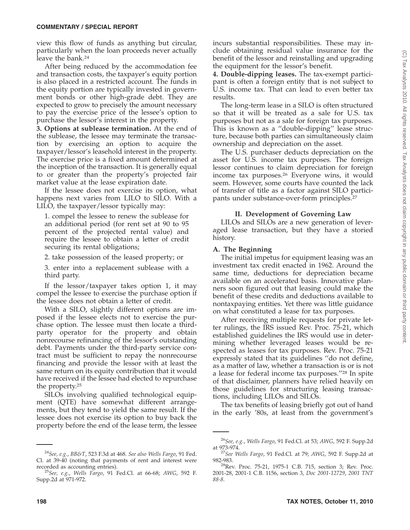view this flow of funds as anything but circular, particularly when the loan proceeds never actually leave the bank.<sup>24</sup>

After being reduced by the accommodation fee and transaction costs, the taxpayer's equity portion is also placed in a restricted account. The funds in the equity portion are typically invested in government bonds or other high-grade debt. They are expected to grow to precisely the amount necessary to pay the exercise price of the lessee's option to purchase the lessor's interest in the property.

**3. Options at sublease termination.** At the end of the sublease, the lessee may terminate the transaction by exercising an option to acquire the taxpayer/lessor's leasehold interest in the property. The exercise price is a fixed amount determined at the inception of the transaction. It is generally equal to or greater than the property's projected fair market value at the lease expiration date.

If the lessee does not exercise its option, what happens next varies from LILO to SILO. With a LILO, the taxpayer/lessor typically may:

1. compel the lessee to renew the sublease for an additional period (for rent set at 90 to 95 percent of the projected rental value) and require the lessee to obtain a letter of credit securing its rental obligations;

2. take possession of the leased property; or

3. enter into a replacement sublease with a third party.

If the lessor/taxpayer takes option 1, it may compel the lessee to exercise the purchase option if the lessee does not obtain a letter of credit.

With a SILO, slightly different options are imposed if the lessee elects not to exercise the purchase option. The lessee must then locate a thirdparty operator for the property and obtain nonrecourse refinancing of the lessor's outstanding debt. Payments under the third-party service contract must be sufficient to repay the nonrecourse financing and provide the lessor with at least the same return on its equity contribution that it would have received if the lessee had elected to repurchase the property.25

SILOs involving qualified technological equipment (QTE) have somewhat different arrangements, but they tend to yield the same result. If the lessee does not exercise its option to buy back the property before the end of the lease term, the lessee

incurs substantial responsibilities. These may include obtaining residual value insurance for the benefit of the lessor and reinstalling and upgrading the equipment for the lessor's benefit.

**4. Double-dipping leases.** The tax-exempt participant is often a foreign entity that is not subject to U.S. income tax. That can lead to even better tax results.

The long-term lease in a SILO is often structured so that it will be treated as a sale for U.S. tax purposes but not as a sale for foreign tax purposes. This is known as a ''double-dipping'' lease structure, because both parties can simultaneously claim ownership and depreciation on the asset.

The U.S. purchaser deducts depreciation on the asset for U.S. income tax purposes. The foreign lessor continues to claim depreciation for foreign income tax purposes.26 Everyone wins, it would seem. However, some courts have counted the lack of transfer of title as a factor against SILO participants under substance-over-form principles.27

## **II. Development of Governing Law**

LILOs and SILOs are a new generation of leveraged lease transaction, but they have a storied history.

## **A. The Beginning**

The initial impetus for equipment leasing was an investment tax credit enacted in 1962. Around the same time, deductions for depreciation became available on an accelerated basis. Innovative planners soon figured out that leasing could make the benefit of these credits and deductions available to nontaxpaying entities. Yet there was little guidance on what constituted a lease for tax purposes.

After receiving multiple requests for private letter rulings, the IRS issued Rev. Proc. 75-21, which established guidelines the IRS would use in determining whether leveraged leases would be respected as leases for tax purposes. Rev. Proc. 75-21 expressly stated that its guidelines ''do not define, as a matter of law, whether a transaction is or is not a lease for federal income tax purposes.''28 In spite of that disclaimer, planners have relied heavily on those guidelines for structuring leasing transactions, including LILOs and SILOs.

The tax benefits of leasing briefly got out of hand in the early '80s, at least from the government's

<sup>24</sup>*See, e.g.*, *BB&T*, 523 F.3d at 468. *See also Wells Fargo*, 91 Fed. Cl. at 39-40 (noting that payments of rent and interest were recorded as accounting entries).

<sup>&</sup>lt;sup>25</sup>See, e.g., Wells Fargo, 91 Fed.Cl. at 66-68; *AWG*, 592 F. Supp.2d at 971-972.

<sup>26</sup>*See, e.g.*, *Wells Fargo*, 91 Fed.Cl. at 53; *AWG*, 592 F. Supp.2d

<sup>&</sup>lt;sup>27</sup>See Wells Fargo, 91 Fed.Cl. at 79; *AWG*, 592 F. Supp.2d at

<sup>982-983.&</sup>lt;br><sup>28</sup>Rev. Proc. 75-21, 1975-1 C.B. 715, section 3; Rev. Proc. 2001-28, 2001-1 C.B. 1156, section 3, *Doc 2001-12729*, *2001 TNT 88-8*.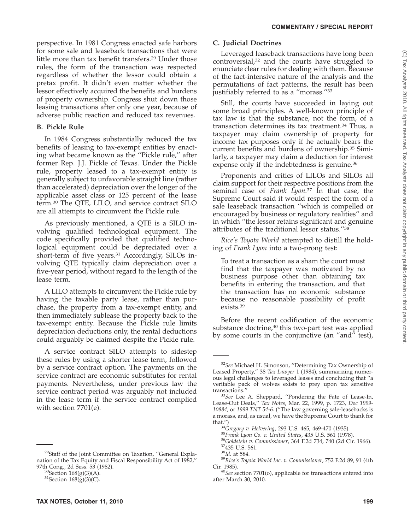perspective. In 1981 Congress enacted safe harbors for some sale and leaseback transactions that were little more than tax benefit transfers.29 Under those rules, the form of the transaction was respected regardless of whether the lessor could obtain a pretax profit. It didn't even matter whether the lessor effectively acquired the benefits and burdens of property ownership. Congress shut down those leasing transactions after only one year, because of adverse public reaction and reduced tax revenues.

# **B. Pickle Rule**

In 1984 Congress substantially reduced the tax benefits of leasing to tax-exempt entities by enacting what became known as the ''Pickle rule,'' after former Rep. J.J. Pickle of Texas. Under the Pickle rule, property leased to a tax-exempt entity is generally subject to unfavorable straight line (rather than accelerated) depreciation over the longer of the applicable asset class or 125 percent of the lease term.30 The QTE, LILO, and service contract SILO are all attempts to circumvent the Pickle rule.

As previously mentioned, a QTE is a SILO involving qualified technological equipment. The code specifically provided that qualified technological equipment could be depreciated over a short-term of five years.<sup>31</sup> Accordingly, SILOs involving QTE typically claim depreciation over a five-year period, without regard to the length of the lease term.

A LILO attempts to circumvent the Pickle rule by having the taxable party lease, rather than purchase, the property from a tax-exempt entity, and then immediately sublease the property back to the tax-exempt entity. Because the Pickle rule limits depreciation deductions only, the rental deductions could arguably be claimed despite the Pickle rule.

A service contract SILO attempts to sidestep these rules by using a shorter lease term, followed by a service contract option. The payments on the service contract are economic substitutes for rental payments. Nevertheless, under previous law the service contract period was arguably not included in the lease term if the service contract complied with section 7701(e).

## **C. Judicial Doctrines**

Leveraged leaseback transactions have long been controversial,32 and the courts have struggled to enunciate clear rules for dealing with them. Because of the fact-intensive nature of the analysis and the permutations of fact patterns, the result has been justifiably referred to as a "morass."<sup>33</sup>

Still, the courts have succeeded in laying out some broad principles. A well-known principle of tax law is that the substance, not the form, of a transaction determines its tax treatment.<sup>34</sup> Thus, a taxpayer may claim ownership of property for income tax purposes only if he actually bears the current benefits and burdens of ownership.35 Similarly, a taxpayer may claim a deduction for interest expense only if the indebtedness is genuine.<sup>36</sup>

Proponents and critics of LILOs and SILOs all claim support for their respective positions from the seminal case of *Frank Lyon.*<sup>37</sup> In that case, the Supreme Court said it would respect the form of a sale leaseback transaction ''which is compelled or encouraged by business or regulatory realities'' and in which ''the lessor retains significant and genuine attributes of the traditional lessor status.''38

*Rice's Toyota World* attempted to distill the holding of *Frank Lyon* into a two-prong test:

To treat a transaction as a sham the court must find that the taxpayer was motivated by no business purpose other than obtaining tax benefits in entering the transaction, and that the transaction has no economic substance because no reasonable possibility of profit exists.39

Before the recent codification of the economic substance doctrine,<sup>40</sup> this two-part test was applied by some courts in the conjunctive (an ''and'' test),

<sup>&</sup>lt;sup>29</sup>Staff of the Joint Committee on Taxation, "General Explanation of the Tax Equity and Fiscal Responsibility Act of 1982,''

 $30$ Section 168(g)(3)(A).<br> $31$ Section 168(g)(3)(C).

<sup>32</sup>*See* Michael H. Simonson, ''Determining Tax Ownership of Leased Property,'' 38 *Tax Lawyer* 1 (1984), summarizing numerous legal challenges to leveraged leases and concluding that ''a veritable pack of wolves exists to prey upon tax sensitive

<sup>&</sup>lt;sup>33</sup>See Lee A. Sheppard, "Pondering the Fate of Lease-In, Lease-Out Deals,'' *Tax Notes*, Mar. 22, 1999, p. 1723, *Doc 1999- 10884*, or *1999 TNT 54-6*. (''The law governing sale-leasebacks is a morass, and, as usual, we have the Supreme Court to thank for

<sup>&</sup>lt;sup>34</sup> Gregory v. Helvering, 293 U.S. 465, 469-470 (1935).<br><sup>35</sup> Frank Lyon Co. v. United States, 435 U.S. 561 (1978).<br><sup>36</sup> Goldstein v. Commissioner, 364 F.2d 734, 740 (2d Cir. 1966).<br><sup>37</sup> 435 U.S. 561.<br><sup>38</sup> Id. at 584.<br><sup>39</sup>

<sup>&</sup>lt;sup>40</sup>See section 7701(o), applicable for transactions entered into after March 30, 2010.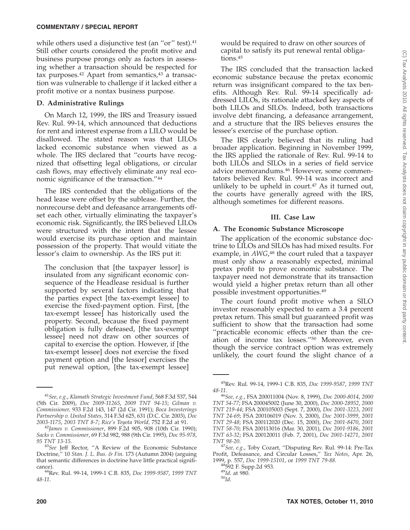while others used a disjunctive test (an "or" test).<sup>41</sup> Still other courts considered the profit motive and business purpose prongs only as factors in assessing whether a transaction should be respected for tax purposes. $42$  Apart from semantics, $43$  a transaction was vulnerable to challenge if it lacked either a profit motive or a nontax business purpose.

#### **D. Administrative Rulings**

On March 12, 1999, the IRS and Treasury issued Rev. Rul. 99-14, which announced that deductions for rent and interest expense from a LILO would be disallowed. The stated reason was that LILOs lacked economic substance when viewed as a whole. The IRS declared that ''courts have recognized that offsetting legal obligations, or circular cash flows, may effectively eliminate any real economic significance of the transaction.''44

The IRS contended that the obligations of the head lease were offset by the sublease. Further, the nonrecourse debt and defeasance arrangements offset each other, virtually eliminating the taxpayer's economic risk. Significantly, the IRS believed LILOs were structured with the intent that the lessee would exercise its purchase option and maintain possession of the property. That would vitiate the lessor's claim to ownership. As the IRS put it:

The conclusion that [the taxpayer lessor] is insulated from any significant economic consequence of the Headlease residual is further supported by several factors indicating that the parties expect [the tax-exempt lessee] to exercise the fixed-payment option. First, [the tax-exempt lessee] has historically used the property. Second, because the fixed payment obligation is fully defeased, [the tax-exempt lessee] need not draw on other sources of capital to exercise the option. However, if [the tax-exempt lessee] does not exercise the fixed payment option and [the lessor] exercises the put renewal option, [the tax-exempt lessee] would be required to draw on other sources of capital to satisfy its put renewal rental obligations.45

The IRS concluded that the transaction lacked economic substance because the pretax economic return was insignificant compared to the tax benefits. Although Rev. Rul. 99-14 specifically addressed LILOs, its rationale attacked key aspects of both LILOs and SILOs. Indeed, both transactions involve debt financing, a defeasance arrangement, and a structure that the IRS believes ensures the lessee's exercise of the purchase option.

The IRS clearly believed that its ruling had broader application. Beginning in November 1999, the IRS applied the rationale of Rev. Rul. 99-14 to both LILOs and SILOs in a series of field service advice memorandums.46 However, some commentators believed Rev. Rul. 99-14 was incorrect and unlikely to be upheld in court.<sup>47</sup> As it turned out, the courts have generally agreed with the IRS, although sometimes for different reasons.

## **III. Case Law**

#### **A. The Economic Substance Microscope**

The application of the economic substance doctrine to LILOs and SILOs has had mixed results. For example, in *AWG*,<sup>48</sup> the court ruled that a taxpayer must only show a reasonably expected, minimal pretax profit to prove economic substance. The taxpayer need not demonstrate that its transaction would yield a higher pretax return than all other possible investment opportunities.49

The court found profit motive when a SILO investor reasonably expected to earn a 3.4 percent pretax return. This small but guaranteed profit was sufficient to show that the transaction had some ''practicable economic effects other than the creation of income tax losses.''50 Moreover, even though the service contract option was extremely unlikely, the court found the slight chance of a

<sup>41</sup>*See, e.g.*, *Klamath Strategic Investment Fund*, 568 F.3d 537, 544 (5th Cir. 2009), *Doc 2009-11265*, *2009 TNT 94-15*; *Gilman v. Commissioner,* 933 F.2d 143, 147 (2d Cir. 1991); *Boca Investerings Partnership v. United States*, 314 F.3d 625, 631 (D.C. Cir. 2003), *Doc*

*<sup>2003-1175</sup>*, *2003 TNT 8-7*; *Rice's Toyota World,* 752 F.2d at 91. <sup>42</sup>*James v. Commissioner*, 899 F.2d 905, 908 (10th Cir. 1990); *Sacks v. Commissioner*, 69 F.3d 982, 988 (9th Cir. 1995), *Doc 95-978*,

<sup>&</sup>lt;sup>43</sup>See Jeff Rector, "A Review of the Economic Substance Doctrine,'' 10 *Stan. J. L. Bus. & Fin*. 173 (Autumn 2004) (arguing that semantic differences in doctrine have little practical signifi-

cance). 44Rev. Rul. 99-14, 1999-1 C.B. 835, *Doc 1999-9587*, *1999 TNT 48-11*.

<sup>45</sup>Rev. Rul. 99-14, 1999-1 C.B. 835, *Doc 1999-9587*, *1999 TNT*

*<sup>48-11</sup>*. <sup>46</sup>*See, e.g.*, FSA 200011004 (Nov. 8, 1999), *Doc 2000-8014*, *<sup>2000</sup> TNT 54-77*; FSA 200045002 (June 30, 2000), *Doc 2000-28952*, *2000 TNT 219-44*; FSA 200105003 (Sept. 7, 2000), *Doc 2001-3223*, *2001 TNT 24-69*; FSA 200106019 (Nov. 3, 2000), *Doc 2001-3999*, *2001 TNT 29-48*; FSA 200112020 (Dec. 15, 2000), *Doc 2001-8470*, *2001 TNT 58-70*; FSA 200113016 (Mar. 30, 2001), *Doc 2001-9186*, *2001 TNT 63-32*; FSA 200120011 (Feb. 7, 2001), *Doc 2001-14271*, *2001*

<sup>&</sup>lt;sup>47</sup>See, e.g., Toby Cozart, "Disputing Rev. Rul. 99-14: Pre-Tax Profit, Defeasance, and Circular Losses,'' *Tax Notes*, Apr. 26, 1999, p. 557, *Doc 1999-15101*, or *1999 TNT 79-88*.<br><sup>48</sup>592 F. Supp.2d 953.<br><sup>49</sup>*Id.* at 980.<br><sup>50</sup>*Id.*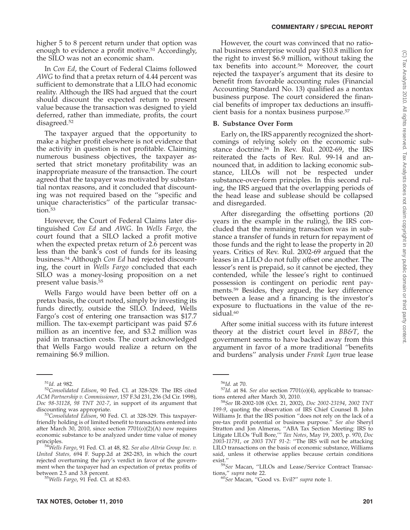higher 5 to 8 percent return under that option was enough to evidence a profit motive.<sup>51</sup> Accordingly, the SILO was not an economic sham.

In *Con Ed*, the Court of Federal Claims followed *AWG* to find that a pretax return of 4.44 percent was sufficient to demonstrate that a LILO had economic reality. Although the IRS had argued that the court should discount the expected return to present value because the transaction was designed to yield deferred, rather than immediate, profits, the court disagreed.52

The taxpayer argued that the opportunity to make a higher profit elsewhere is not evidence that the activity in question is not profitable. Claiming numerous business objectives, the taxpayer asserted that strict monetary profitability was an inappropriate measure of the transaction. The court agreed that the taxpayer was motivated by substantial nontax reasons, and it concluded that discounting was not required based on the ''specific and unique characteristics'' of the particular transaction.<sup>53</sup>

However, the Court of Federal Claims later distinguished *Con Ed* and *AWG*. In *Wells Fargo*, the court found that a SILO lacked a profit motive when the expected pretax return of 2.6 percent was less than the bank's cost of funds for its leasing business.54 Although *Con Ed* had rejected discounting, the court in *Wells Fargo* concluded that each SILO was a money-losing proposition on a net present value basis.55

Wells Fargo would have been better off on a pretax basis, the court noted, simply by investing its funds directly, outside the SILO. Indeed, Wells Fargo's cost of entering one transaction was \$17.7 million. The tax-exempt participant was paid \$7.6 million as an incentive fee, and \$3.2 million was paid in transaction costs. The court acknowledged that Wells Fargo would realize a return on the remaining \$6.9 million.

However, the court was convinced that no rational business enterprise would pay \$10.8 million for the right to invest \$6.9 million, without taking the tax benefits into account.56 Moreover, the court rejected the taxpayer's argument that its desire to benefit from favorable accounting rules (Financial Accounting Standard No. 13) qualified as a nontax business purpose. The court considered the financial benefits of improper tax deductions an insufficient basis for a nontax business purpose.57

## **B. Substance Over Form**

Early on, the IRS apparently recognized the shortcomings of relying solely on the economic substance doctrine.58 In Rev. Rul. 2002-69, the IRS reiterated the facts of Rev. Rul. 99-14 and announced that, in addition to lacking economic substance, LILOs will not be respected under substance-over-form principles. In this second ruling, the IRS argued that the overlapping periods of the head lease and sublease should be collapsed and disregarded.

After disregarding the offsetting portions (20 years in the example in the ruling), the IRS concluded that the remaining transaction was in substance a transfer of funds in return for repayment of those funds and the right to lease the property in 20 years. Critics of Rev. Rul. 2002-69 argued that the leases in a LILO do not fully offset one another. The lessor's rent is prepaid, so it cannot be ejected, they contended, while the lessee's right to continued possession is contingent on periodic rent payments.59 Besides, they argued, the key difference between a lease and a financing is the investor's exposure to fluctuations in the value of the residual.<sup>60</sup>

After some initial success with its future interest theory at the district court level in *BB&T*, the government seems to have backed away from this argument in favor of a more traditional ''benefits and burdens'' analysis under *Frank Lyon* true lease

<sup>&</sup>lt;sup>51</sup>Id. at 982.<br><sup>52</sup>Consolidated Edison, 90 Fed. Cl. at 328-329. The IRS cited *ACM Partnership v. Commissioner*, 157 F.3d 231, 236 (3d Cir. 1998), *Doc 98-31128*, *98 TNT 202-7*, in support of its argument that

<sup>&</sup>lt;sup>53</sup>Consolidated Edison, 90 Fed. Cl. at 328-329. This taxpayerfriendly holding is of limited benefit to transactions entered into after March 30, 2010, since section  $7701(o)(2)(A)$  now requires economic substance to be analyzed under time value of money

principles. <sup>54</sup>*Wells Fargo*, 91 Fed. Cl. at 48, 82. *See also Altria Group Inc. v. United States,* 694 F. Supp.2d at 282-283, in which the court rejected overturning the jury's verdict in favor of the government when the taxpayer had an expectation of pretax profits of

between 2.5 and 3.8 percent. <sup>55</sup>*Wells Fargo*, 91 Fed. Cl. at 82-83.

<sup>56</sup>*Id.* at 70. <sup>57</sup>*Id.* at 84. *See also* section 7701(o)(4), applicable to transac-

tions entered after March 30, 2010. <sup>58</sup>*See* IR-2002-108 (Oct. 21, 2002), *Doc 2002-23194*, *2002 TNT 199-9*, quoting the observation of IRS Chief Counsel B. John Williams Jr. that the IRS position ''does not rely on the lack of a pre-tax profit potential or business purpose.'' *See also* Sheryl Stratton and Jon Almeras, ''ABA Tax Section Meeting: IRS to Litigate LILOs 'Full Bore,''' *Tax Notes*, May 19, 2003, p. 970, *Doc 2003-11791*, or *2003 TNT 91-2*: ''The IRS will not be attacking LILO transactions on the basis of economic substance, Williams said, unless it otherwise applies because certain conditions

exist."<br><sup>59</sup>See Macan, "LILOs and Lease/Service Contract Transac-<br>tions." *supra* note 22.

<sup>&</sup>lt;sup>60</sup>See Macan, "Good vs. Evil?" *supra* note 1.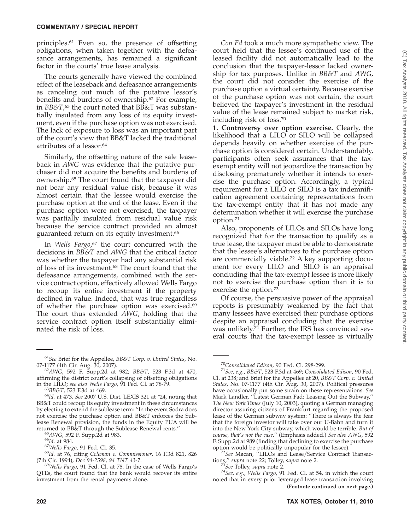principles.61 Even so, the presence of offsetting obligations, when taken together with the defeasance arrangements, has remained a significant factor in the courts' true lease analysis.

The courts generally have viewed the combined effect of the leaseback and defeasance arrangements as canceling out much of the putative lessor's benefits and burdens of ownership.62 For example, in *BB&T*, <sup>63</sup> the court noted that BB&T was substantially insulated from any loss of its equity investment, even if the purchase option was not exercised. The lack of exposure to loss was an important part of the court's view that BB&T lacked the traditional attributes of a lessor.64

Similarly, the offsetting nature of the sale leaseback in *AWG* was evidence that the putative purchaser did not acquire the benefits and burdens of ownership.65 The court found that the taxpayer did not bear any residual value risk, because it was almost certain that the lessee would exercise the purchase option at the end of the lease. Even if the purchase option were not exercised, the taxpayer was partially insulated from residual value risk because the service contract provided an almost guaranteed return on its equity investment.<sup>66</sup>

In *Wells Fargo*, <sup>67</sup> the court concurred with the decisions in *BB&T* and *AWG* that the critical factor was whether the taxpayer had any substantial risk of loss of its investment.68 The court found that the defeasance arrangements, combined with the service contract option, effectively allowed Wells Fargo to recoup its entire investment if the property declined in value. Indeed, that was true regardless of whether the purchase option was exercised.69 The court thus extended *AWG*, holding that the service contract option itself substantially eliminated the risk of loss.

*Con Ed* took a much more sympathetic view. The court held that the lessee's continued use of the leased facility did not automatically lead to the conclusion that the taxpayer-lessor lacked ownership for tax purposes. Unlike in *BB&T* and *AWG*, the court did not consider the exercise of the purchase option a virtual certainty. Because exercise of the purchase option was not certain, the court believed the taxpayer's investment in the residual value of the lease remained subject to market risk, including risk of loss.70

**1. Controversy over option exercise.** Clearly, the likelihood that a LILO or SILO will be collapsed depends heavily on whether exercise of the purchase option is considered certain. Understandably, participants often seek assurances that the taxexempt entity will not jeopardize the transaction by disclosing prematurely whether it intends to exercise the purchase option. Accordingly, a typical requirement for a LILO or SILO is a tax indemnification agreement containing representations from the tax-exempt entity that it has not made any determination whether it will exercise the purchase option.71

Also, proponents of LILOs and SILOs have long recognized that for the transaction to qualify as a true lease, the taxpayer must be able to demonstrate that the lessee's alternatives to the purchase option are commercially viable.72 A key supporting document for every LILO and SILO is an appraisal concluding that the tax-exempt lessee is more likely not to exercise the purchase option than it is to exercise the option.73

Of course, the persuasive power of the appraisal reports is presumably weakened by the fact that many lessees have exercised their purchase options despite an appraisal concluding that the exercise was unlikely.74 Further, the IRS has convinced several courts that the tax-exempt lessee is virtually

<sup>61</sup>*See* Brief for the Appellee, *BB&T Corp. v. United States*, No.

<sup>07-1177 (4</sup>th Cir. Aug. 30, 2007). <sup>62</sup>*AWG*, 592 F. Supp.2d at 982; *BB&T*, 523 F.3d at 470, affirming the district court's collapsing of offsetting obligations in the LILO; see also Wells Fargo, 91 Fed. Cl. at 78-79.

in the LILO; *see also Wells Fargo*, 91 Fed. Cl. at 78-79. <sup>63</sup>*BB&T*, 523 F.3d at 469. <sup>64</sup>*Id.* at 473. *See* 2007 U.S. Dist. LEXIS 321 at \*24, noting that BB&T could recoup its equity investment in these circumstances by electing to extend the sublease term: ''In the event Sodra does not exercise the purchase option and BB&T enforces the Sublease Renewal provision, the funds in the Equity PUA will be

returned to BB&T through the Sublease Renewal rents."<br>
<sup>65</sup>AWG, 592 F. Supp.2d at 983.<br>
<sup>66</sup>Id. at 984.<br>
<sup>67</sup>Wells Fargo, 91 Fed. Cl. 35.<br>
<sup>68</sup>Id. at 76, citing Coleman v. Commissioner, 16 F.3d 821, 826

<sup>(7</sup>th Cir. 1994), *Doc 94-2598, 94 TNT 43-7*. <sup>69</sup>*Wells Fargo*, 91 Fed. Cl. at 78. In the case of Wells Fargo's QTEs, the court found that the bank would recover its entire investment from the rental payments alone.

<sup>70</sup>*Consolidated Edison,* 90 Fed. Cl. 298-299. <sup>71</sup>*See, e.g.*, *BB&T*, 523 F.3d at 469; *Consolidated Edison,* 90 Fed. Cl. at 238; and Brief for the Appellee at 20, *BB&T Corp. v. United States*, No. 07-1177 (4th Cir. Aug. 30, 2007). Political pressures have occasionally put some strain on these representations. *See* Mark Landler, ''Latest German Fad: Leasing Out the Subway,'' *The New York Times* (July 10, 2003), quoting a German managing director assuring citizens of Frankfurt regarding the proposed lease of the German subway system: ''There is always the fear that the foreign investor will take over our U-Bahn and turn it into the New York City subway, which would be terrible. *But of course, that's not the case*.'' (Emphasis added.) *See also AWG*, 592 F. Supp.2d at 989 (finding that declining to exercise the purchase

<sup>&</sup>lt;sup>72</sup>See Macan, "LILOs and Lease/Service Contract Transactions,'' *supra* note 22; Tolley, *supra* note 2. <sup>73</sup>*See* Tolley, *supra* note 2. <sup>74</sup>*See, e.g.*, *Wells Fargo*, 91 Fed. Cl. at 54, in which the court

noted that in every prior leveraged lease transaction involving **(Footnote continued on next page.)**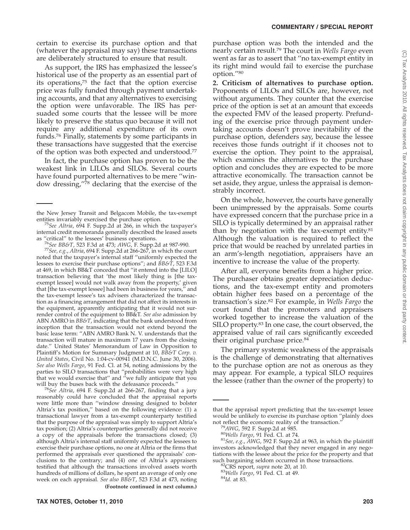certain to exercise its purchase option and that (whatever the appraisal may say) these transactions are deliberately structured to ensure that result.

As support, the IRS has emphasized the lessee's historical use of the property as an essential part of its operations,75 the fact that the option exercise price was fully funded through payment undertaking accounts, and that any alternatives to exercising the option were unfavorable. The IRS has persuaded some courts that the lessee will be more likely to preserve the status quo because it will not require any additional expenditure of its own funds.76 Finally, statements by some participants in these transactions have suggested that the exercise of the option was both expected and understood.77

In fact, the purchase option has proven to be the weakest link in LILOs and SILOs. Several courts have found purported alternatives to be mere ''window dressing,''78 declaring that the exercise of the

<sup>76</sup>See BB&T, 523 F.3d at 473; *AWG*, F. Supp.2d at 987-990.<br><sup>77</sup>See, e.g., *Altria*, 694 F. Supp.2d at 266-267, in which the court noted that the taxpayer's internal staff ''uniformly expected the lessees to exercise their purchase options''; and *BB&T*, 523 F.3d at 469, in which BB&T conceded that ''it entered into the [LILO] transaction believing that 'the most likely thing is [the taxexempt lessee] would not walk away from the property,' given that [the tax-exempt lessee] had been in business for years,'' and the tax-exempt lessee's tax advisers characterized the transaction as a financing arrangement that did not affect its interests in the equipment, apparently anticipating that it would not surrender control of the equipment to BB&T. *See also* admission by ABN AMRO in *BB&T*, indicating that the bank understood from inception that the transaction would not extend beyond the basic lease term: ''ABN AMRO Bank N. V. understands that the transaction will mature in maximum 17 years from the closing date.'' United States' Memorandum of Law in Opposition to Plaintiff's Motion for Summary Judgment at 10, *BB&T Corp. v. United States*, Civil No. 1:04-cv-00941 (M.D.N.C. June 30, 2006). *See also Wells Fargo*, 91 Fed. Cl. at 54, noting admissions by the parties to SILO transactions that ''probabilities were very high that we would exercise that'' and ''we fully anticipate that you

will buy the buses back with the defeasance proceeds.'' <sup>78</sup>*See Altria*, 694 F. Supp.2d at 266-267, finding that a jury reasonably could have concluded that the appraisal reports were little more than ''window dressing designed to bolster Altria's tax position,'' based on the following evidence: (1) a transactional lawyer from a tax-exempt counterparty testified that the purpose of the appraisal was simply to support Altria's tax position; (2) Altria's counterparties generally did not receive a copy of the appraisals before the transactions closed; (3) although Altria's internal staff uniformly expected the lessees to exercise their purchase options, no one at Altria or the firms that performed the appraisals ever questioned the appraisals' conclusions to the contrary; and (4) one of Altria's appraisers testified that although the transactions involved assets worth hundreds of millions of dollars, he spent an average of only one week on each appraisal. *See also BB&T*, 523 F.3d at 473, noting **(Footnote continued in next column.)**

purchase option was both the intended and the nearly certain result.79 The court in *Wells Fargo* even went as far as to assert that ''no tax-exempt entity in its right mind would fail to exercise the purchase option.''80

**2. Criticism of alternatives to purchase option.** Proponents of LILOs and SILOs are, however, not without arguments. They counter that the exercise price of the option is set at an amount that exceeds the expected FMV of the leased property. Prefunding of the exercise price through payment undertaking accounts doesn't prove inevitability of the purchase option, defenders say, because the lessee receives those funds outright if it chooses not to exercise the option. They point to the appraisal, which examines the alternatives to the purchase option and concludes they are expected to be more attractive economically. The transaction cannot be set aside, they argue, unless the appraisal is demonstrably incorrect.

On the whole, however, the courts have generally been unimpressed by the appraisals. Some courts have expressed concern that the purchase price in a SILO is typically determined by an appraisal rather than by negotiation with the tax-exempt entity.<sup>81</sup> Although the valuation is required to reflect the price that would be reached by unrelated parties in an arm's-length negotiation, appraisers have an incentive to increase the value of the property.

After all, everyone benefits from a higher price. The purchaser obtains greater depreciation deductions, and the tax-exempt entity and promoters obtain higher fees based on a percentage of the transaction's size.82 For example, in *Wells Fargo* the court found that the promoters and appraisers worked together to increase the valuation of the SILO property.83 In one case, the court observed, the appraised value of rail cars significantly exceeded their original purchase price.<sup>84</sup>

The primary systemic weakness of the appraisals is the challenge of demonstrating that alternatives to the purchase option are not as onerous as they may appear. For example, a typical SILO requires the lessee (rather than the owner of the property) to

the New Jersey Transit and Belgacom Mobile, the tax-exempt

<sup>&</sup>lt;sup>75</sup>See Altria, 694 F. Supp.2d at 266, in which the taxpayer's internal credit memoranda generally described the leased assets as "critical" to the lessees' business operations.

that the appraisal report predicting that the tax-exempt lessee would be unlikely to exercise its purchase option "plainly does not reflect the economic reality of the transaction."

<sup>&</sup>lt;sup>79</sup>AWG, 592 F. Supp.2d at 985.<br><sup>80</sup>Wells Fargo, 91 Fed. Cl. at 74.<br><sup>81</sup>*See, e.g., AWG,* 592 F. Supp.2d at 963, in which the plaintiff investors acknowledged that they never engaged in any negotiations with the lessee about the price for the property and that such bargaining seldom occurred in those transactions.<br><sup>82</sup>CRS report, *supra* note 20, at 10.<br><sup>83</sup>*Wells Fargo*, 91 Fed. Cl. at 49.<br><sup>84</sup>*Id.* at 83.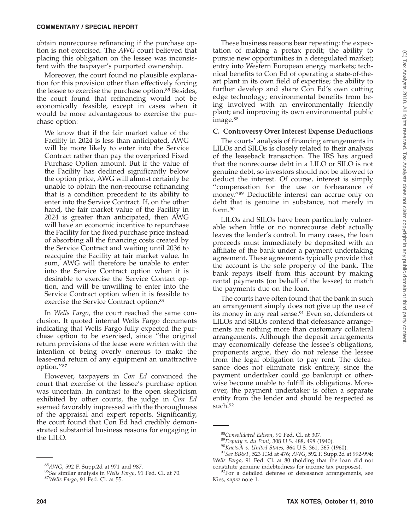obtain nonrecourse refinancing if the purchase option is not exercised. The *AWG* court believed that placing this obligation on the lessee was inconsistent with the taxpayer's purported ownership.

Moreover, the court found no plausible explanation for this provision other than effectively forcing the lessee to exercise the purchase option.<sup>85</sup> Besides, the court found that refinancing would not be economically feasible, except in cases when it would be more advantageous to exercise the purchase option:

We know that if the fair market value of the Facility in 2024 is less than anticipated, AWG will be more likely to enter into the Service Contract rather than pay the overpriced Fixed Purchase Option amount. But if the value of the Facility has declined significantly below the option price, AWG will almost certainly be unable to obtain the non-recourse refinancing that is a condition precedent to its ability to enter into the Service Contract. If, on the other hand, the fair market value of the Facility in 2024 is greater than anticipated, then AWG will have an economic incentive to repurchase the Facility for the fixed purchase price instead of absorbing all the financing costs created by the Service Contract and waiting until 2036 to reacquire the Facility at fair market value. In sum, AWG will therefore be unable to enter into the Service Contract option when it is desirable to exercise the Service Contact option, and will be unwilling to enter into the Service Contract option when it is feasible to exercise the Service Contract option.<sup>86</sup>

In *Wells Fargo*, the court reached the same conclusion. It quoted internal Wells Fargo documents indicating that Wells Fargo fully expected the purchase option to be exercised, since ''the original return provisions of the lease were written with the intention of being overly onerous to make the lease-end return of any equipment an unattractive option.''87

However, taxpayers in *Con Ed* convinced the court that exercise of the lessee's purchase option was uncertain. In contrast to the open skepticism exhibited by other courts, the judge in *Con Ed* seemed favorably impressed with the thoroughness of the appraisal and expert reports. Significantly, the court found that Con Ed had credibly demonstrated substantial business reasons for engaging in the LILO.

These business reasons bear repeating: the expectation of making a pretax profit; the ability to pursue new opportunities in a deregulated market; entry into Western European energy markets; technical benefits to Con Ed of operating a state-of-theart plant in its own field of expertise; the ability to further develop and share Con Ed's own cutting edge technology; environmental benefits from being involved with an environmentally friendly plant; and improving its own environmental public image.<sup>88</sup>

# **C. Controversy Over Interest Expense Deductions**

The courts' analysis of financing arrangements in LILOs and SILOs is closely related to their analysis of the leaseback transaction. The IRS has argued that the nonrecourse debt in a LILO or SILO is not genuine debt, so investors should not be allowed to deduct the interest. Of course, interest is simply ''compensation for the use or forbearance of money.''89 Deductible interest can accrue only on debt that is genuine in substance, not merely in form.90

LILOs and SILOs have been particularly vulnerable when little or no nonrecourse debt actually leaves the lender's control. In many cases, the loan proceeds must immediately be deposited with an affiliate of the bank under a payment undertaking agreement. These agreements typically provide that the account is the sole property of the bank. The bank repays itself from this account by making rental payments (on behalf of the lessee) to match the payments due on the loan.

The courts have often found that the bank in such an arrangement simply does not give up the use of its money in any real sense.<sup>91</sup> Even so, defenders of LILOs and SILOs contend that defeasance arrangements are nothing more than customary collateral arrangements. Although the deposit arrangements may economically defease the lessee's obligations, proponents argue, they do not release the lessee from the legal obligation to pay rent. The defeasance does not eliminate risk entirely, since the payment undertaker could go bankrupt or otherwise become unable to fulfill its obligations. Moreover, the payment undertaker is often a separate entity from the lender and should be respected as such.<sup>92</sup>

<sup>85</sup>*AWG*, 592 F. Supp.2d at 971 and 987. <sup>86</sup>*See* similar analysis in *Wells Fargo*, 91 Fed. Cl. at 70. <sup>87</sup>*Wells Fargo*, 91 Fed. Cl. at 55.

<sup>&</sup>lt;sup>88</sup>Consolidated Edison, 90 Fed. Cl. at 307.<br><sup>89</sup>Deputy v. du Pont, 308 U.S. 488, 498 (1940).<br><sup>90</sup>Knetsch v. United States, 364 U.S. 361, 365 (1960).<br><sup>91</sup>See BB&T, 523 F.3d at 476; AWG, 592 F. Supp.2d at 992-994;

*Wells Fargo*, 91 Fed. Cl. at 80 (holding that the loan did not

 $^{92}$ For a detailed defense of defeasance arrangements, see Kies, *supra* note 1.